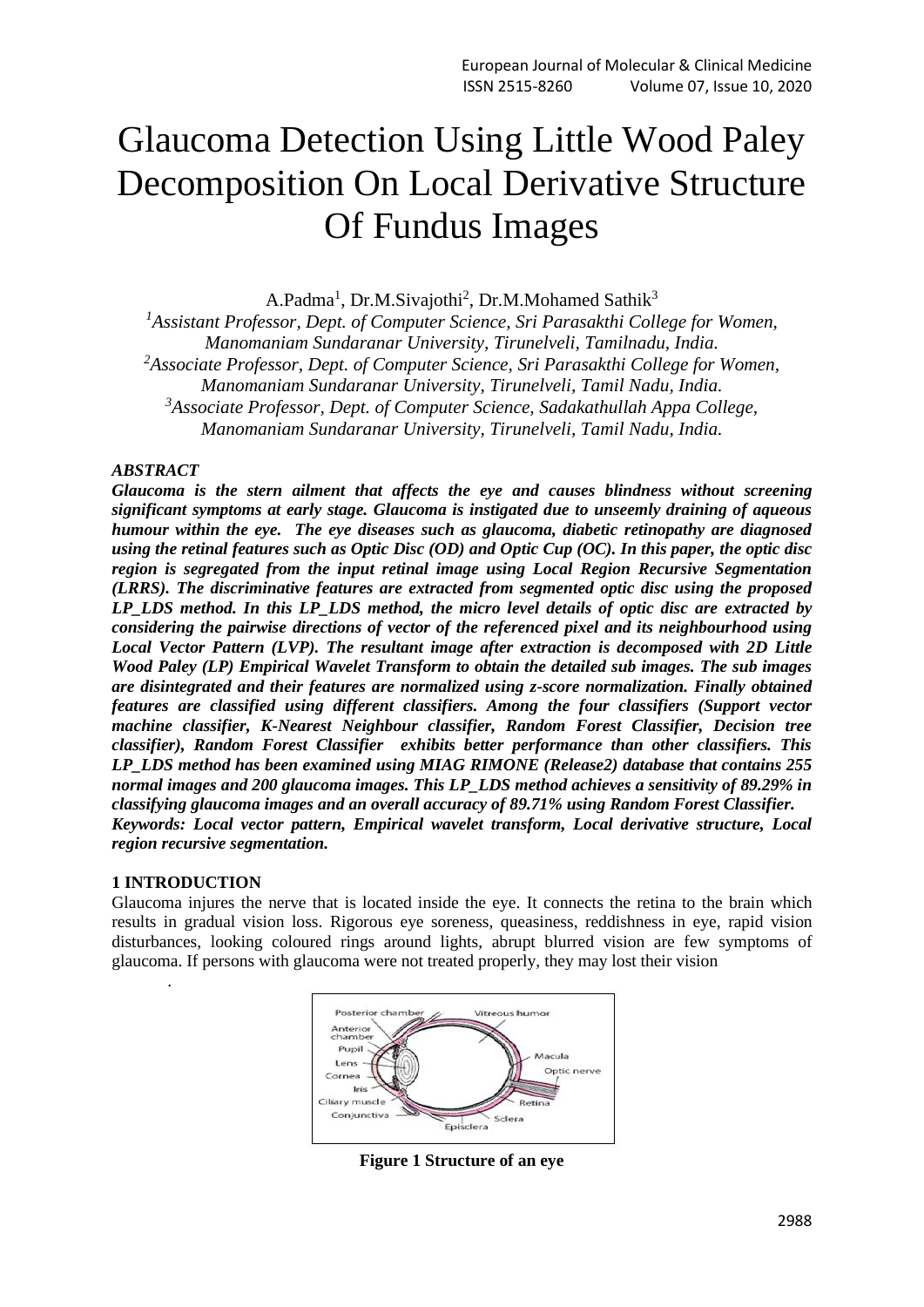# Glaucoma Detection Using Little Wood Paley Decomposition On Local Derivative Structure Of Fundus Images

A.Padma<sup>1</sup>, Dr.M.Sivajothi<sup>2</sup>, Dr.M.Mohamed Sathik<sup>3</sup>

*<sup>1</sup>Assistant Professor, Dept. of Computer Science, Sri Parasakthi College for Women, Manomaniam Sundaranar University, Tirunelveli, Tamilnadu, India. <sup>2</sup>Associate Professor, Dept. of Computer Science, Sri Parasakthi College for Women, Manomaniam Sundaranar University, Tirunelveli, Tamil Nadu, India. <sup>3</sup>Associate Professor, Dept. of Computer Science, Sadakathullah Appa College, Manomaniam Sundaranar University, Tirunelveli, Tamil Nadu, India.*

#### *ABSTRACT*

*Glaucoma is the stern ailment that affects the eye and causes blindness without screening significant symptoms at early stage. Glaucoma is instigated due to unseemly draining of aqueous humour within the eye. The eye diseases such as glaucoma, diabetic retinopathy are diagnosed using the retinal features such as Optic Disc (OD) and Optic Cup (OC). In this paper, the optic disc region is segregated from the input retinal image using Local Region Recursive Segmentation (LRRS). The discriminative features are extracted from segmented optic disc using the proposed LP\_LDS method. In this LP\_LDS method, the micro level details of optic disc are extracted by considering the pairwise directions of vector of the referenced pixel and its neighbourhood using Local Vector Pattern (LVP). The resultant image after extraction is decomposed with 2D Little Wood Paley (LP) Empirical Wavelet Transform to obtain the detailed sub images. The sub images are disintegrated and their features are normalized using z-score normalization. Finally obtained features are classified using different classifiers. Among the four classifiers (Support vector machine classifier, K-Nearest Neighbour classifier, Random Forest Classifier, Decision tree classifier), Random Forest Classifier exhibits better performance than other classifiers. This LP\_LDS method has been examined using MIAG RIMONE (Release2) database that contains 255 normal images and 200 glaucoma images. This LP\_LDS method achieves a sensitivity of 89.29% in classifying glaucoma images and an overall accuracy of 89.71% using Random Forest Classifier. Keywords: Local vector pattern, Empirical wavelet transform, Local derivative structure, Local region recursive segmentation.*

#### **1 INTRODUCTION**

.

Glaucoma injures the nerve that is located inside the eye. It connects the retina to the brain which results in gradual vision loss. Rigorous eye soreness, queasiness, reddishness in eye, rapid vision disturbances, looking coloured rings around lights, abrupt blurred vision are few symptoms of glaucoma. If persons with glaucoma were not treated properly, they may lost their vision



**Figure 1 Structure of an eye**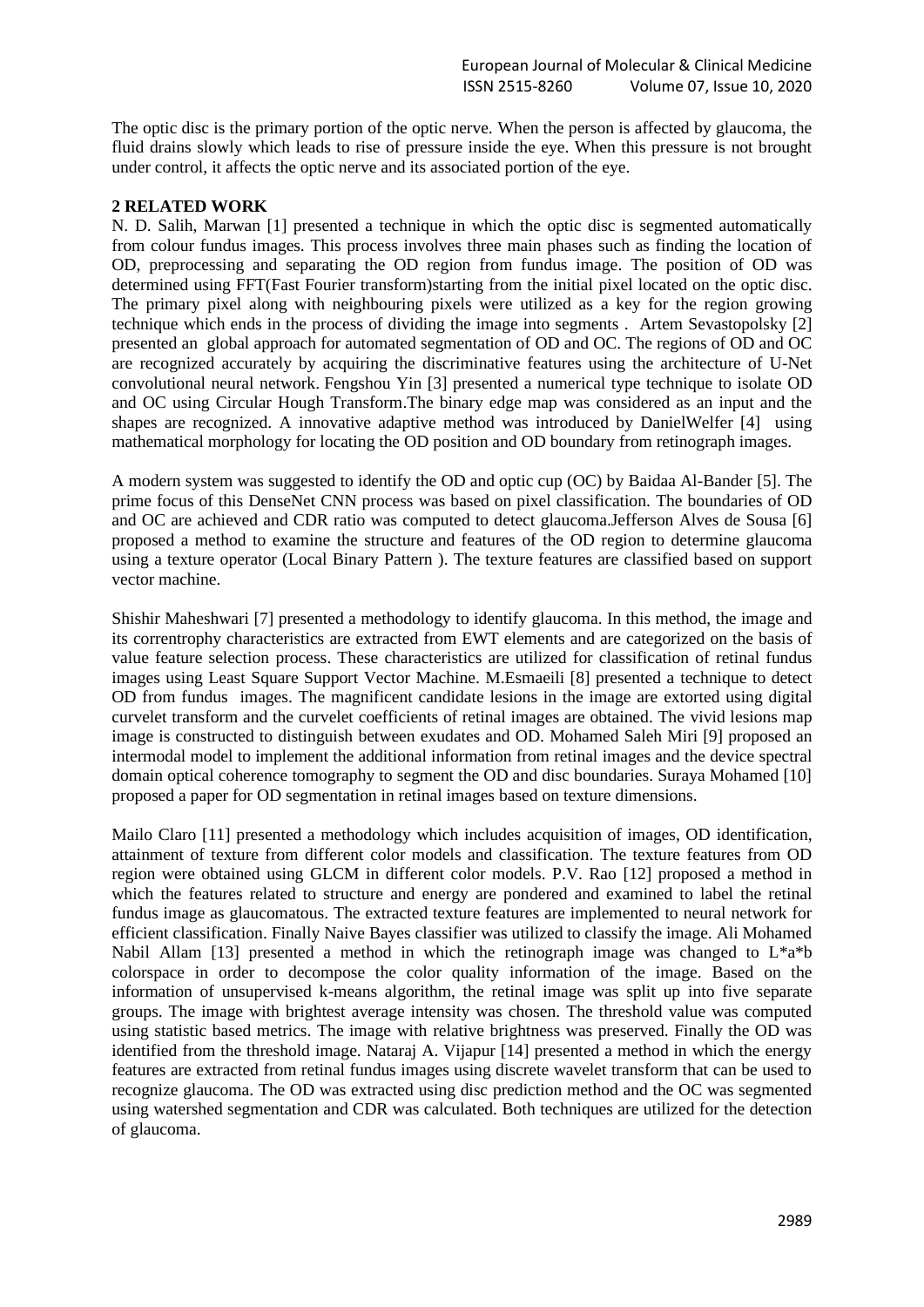The optic disc is the primary portion of the optic nerve. When the person is affected by glaucoma, the fluid drains slowly which leads to rise of pressure inside the eye. When this pressure is not brought under control, it affects the optic nerve and its associated portion of the eye.

#### **2 RELATED WORK**

[N. D. Salih,](https://www.tandfonline.com/author/Salih%2C+N+D) [Marwan \[](https://www.tandfonline.com/author/Saleh%2C+Marwan+D)1] presented a technique in which the optic disc is segmented automatically from colour fundus images. This process involves three main phases such as finding the location of OD, preprocessing and separating the OD region from fundus image. The position of OD was determined using FFT(Fast Fourier transform)starting from the initial pixel located on the optic disc. The primary pixel along with neighbouring pixels were utilized as a key for the region growing technique which ends in the process of dividing the image into segments . [Artem Sevastopolsky](https://arxiv.org/search/cs?searchtype=author&query=Sevastopolsky%2C+A) [2] presented an global approach for automated segmentation of OD and OC. The regions of OD and OC are recognized accurately by acquiring the discriminative features using the architecture of U-Net convolutional neural network. Fengshou Yin [3] presented a numerical type technique to isolate OD and OC using Circular Hough Transform.The binary edge map was considered as an input and the shapes are recognized. A innovative adaptive method was introduced by DanielWelfer [4] using mathematical morphology for locating the OD position and OD boundary from retinograph images.

A modern system was suggested to identify the OD and optic cup (OC) by Baidaa Al-Bander [5]. The prime focus of this DenseNet CNN process was based on pixel classification. The boundaries of OD and OC are achieved and CDR ratio was computed to detect glaucoma.Jefferson Alves de Sousa [6] proposed a method to examine the structure and features of the OD region to determine glaucoma using a texture operator (Local Binary Pattern ). The texture features are classified based on support vector machine.

Shishir Maheshwari [7] presented a methodology to identify glaucoma. In this method, the image and its correntrophy characteristics are extracted from EWT elements and are categorized on the basis of value feature selection process. These characteristics are utilized for classification of retinal fundus images using Least Square Support Vector Machine. M.Esmaeili [8] presented a technique to detect OD from fundus images. The magnificent candidate lesions in the image are extorted using digital curvelet transform and the curvelet coefficients of retinal images are obtained. The vivid lesions map image is constructed to distinguish between exudates and OD. Mohamed Saleh Miri [9] proposed an intermodal model to implement the additional information from retinal images and the device spectral domain optical coherence tomography to segment the OD and disc boundaries. Suraya Mohamed [10] proposed a paper for OD segmentation in retinal images based on texture dimensions.

Mailo Claro [11] presented a methodology which includes acquisition of images, OD identification, attainment of texture from different color models and classification. The texture features from OD region were obtained using GLCM in different color models. P.V. Rao [12] proposed a method in which the features related to structure and energy are pondered and examined to label the retinal fundus image as glaucomatous. The extracted texture features are implemented to neural network for efficient classification. Finally Naive Bayes classifier was utilized to classify the image. Ali Mohamed Nabil Allam [13] presented a method in which the retinograph image was changed to  $L^*a^*b$ colorspace in order to decompose the color quality information of the image. Based on the information of unsupervised k-means algorithm, the retinal image was split up into five separate groups. The image with brightest average intensity was chosen. The threshold value was computed using statistic based metrics. The image with relative brightness was preserved. Finally the OD was identified from the threshold image. Nataraj A. Vijapur [14] presented a method in which the energy features are extracted from retinal fundus images using discrete wavelet transform that can be used to recognize glaucoma. The OD was extracted using disc prediction method and the OC was segmented using watershed segmentation and CDR was calculated. Both techniques are utilized for the detection of glaucoma.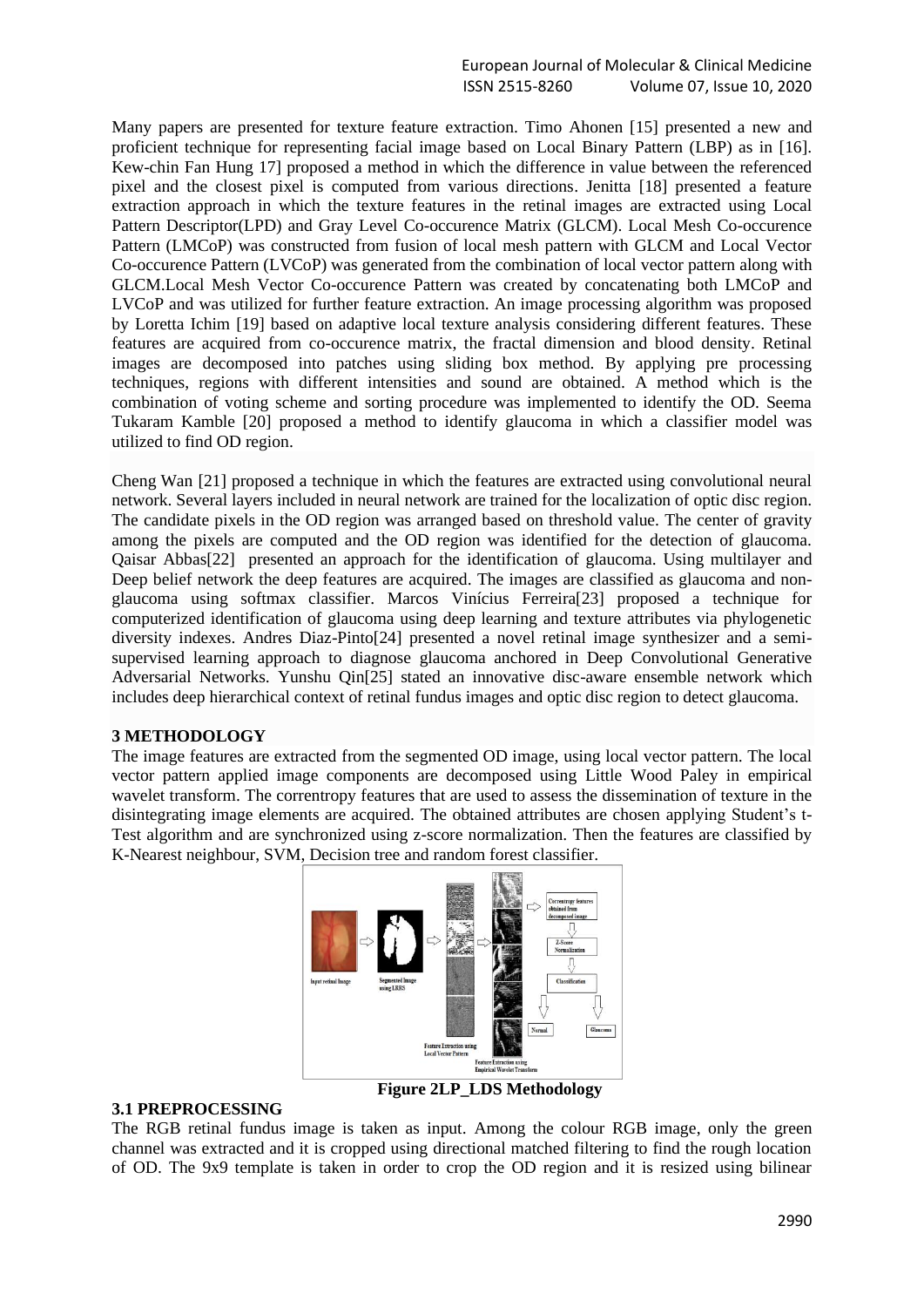Many papers are presented for texture feature extraction. Timo Ahonen [15] presented a new and proficient technique for representing facial image based on Local Binary Pattern (LBP) as in [16]. Kew-chin Fan Hung 17] proposed a method in which the difference in value between the referenced pixel and the closest pixel is computed from various directions. Jenitta [18] presented a feature extraction approach in which the texture features in the retinal images are extracted using Local Pattern Descriptor(LPD) and Gray Level Co-occurence Matrix (GLCM). Local Mesh Co-occurence Pattern (LMCoP) was constructed from fusion of local mesh pattern with GLCM and Local Vector Co-occurence Pattern (LVCoP) was generated from the combination of local vector pattern along with GLCM.Local Mesh Vector Co-occurence Pattern was created by concatenating both LMCoP and LVCoP and was utilized for further feature extraction. An image processing algorithm was proposed by Loretta Ichim [19] based on adaptive local texture analysis considering different features. These features are acquired from co-occurence matrix, the fractal dimension and blood density. Retinal images are decomposed into patches using sliding box method. By applying pre processing techniques, regions with different intensities and sound are obtained. A method which is the combination of voting scheme and sorting procedure was implemented to identify the OD. Seema Tukaram Kamble [20] proposed a method to identify glaucoma in which a classifier model was utilized to find OD region.

Cheng Wan [21] proposed a technique in which the features are extracted using convolutional neural network. Several layers included in neural network are trained for the localization of optic disc region. The candidate pixels in the OD region was arranged based on threshold value. The center of gravity among the pixels are computed and the OD region was identified for the detection of glaucoma. Qaisar Abbas[22] presented an approach for the identification of glaucoma. Using multilayer and Deep belief network the deep features are acquired. The images are classified as glaucoma and nonglaucoma using softmax classifier. Marcos Vinícius Ferreira[23] proposed a technique for computerized identification of glaucoma using deep learning and texture attributes via phylogenetic diversity indexes. Andres Diaz-Pinto[24] presented a novel retinal image synthesizer and a semisupervised learning approach to diagnose glaucoma anchored in Deep Convolutional Generative Adversarial Networks. Yunshu Qin[25] stated an innovative disc-aware ensemble network which includes deep hierarchical context of retinal fundus images and optic disc region to detect glaucoma.

#### **3 METHODOLOGY**

The image features are extracted from the segmented OD image, using local vector pattern. The local vector pattern applied image components are decomposed using Little Wood Paley in empirical wavelet transform. The correntropy features that are used to assess the dissemination of texture in the disintegrating image elements are acquired. The obtained attributes are chosen applying Student's t-Test algorithm and are synchronized using z-score normalization. Then the features are classified by K-Nearest neighbour, SVM, Decision tree and random forest classifier.



#### **3.1 PREPROCESSING**

The RGB retinal fundus image is taken as input. Among the colour RGB image, only the green channel was extracted and it is cropped using directional matched filtering to find the rough location of OD. The 9x9 template is taken in order to crop the OD region and it is resized using bilinear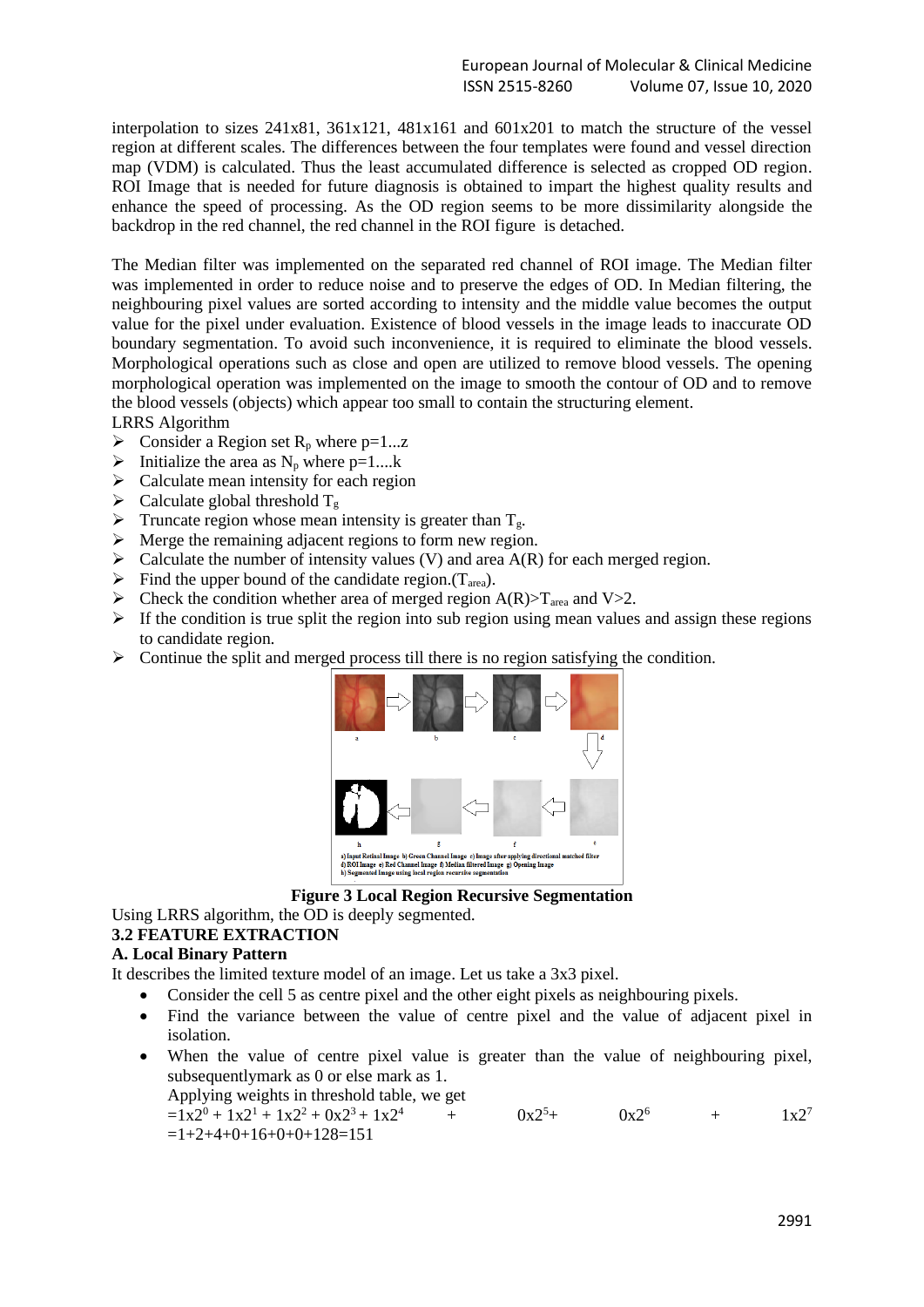interpolation to sizes 241x81, 361x121, 481x161 and 601x201 to match the structure of the vessel region at different scales. The differences between the four templates were found and vessel direction map (VDM) is calculated. Thus the least accumulated difference is selected as cropped OD region. ROI Image that is needed for future diagnosis is obtained to impart the highest quality results and enhance the speed of processing. As the OD region seems to be more dissimilarity alongside the backdrop in the red channel, the red channel in the ROI figure is detached.

The Median filter was implemented on the separated red channel of ROI image. The Median filter was implemented in order to reduce noise and to preserve the edges of OD. In Median filtering, the neighbouring pixel values are sorted according to intensity and the middle value becomes the output value for the pixel under evaluation. Existence of blood vessels in the image leads to inaccurate OD boundary segmentation. To avoid such inconvenience, it is required to eliminate the blood vessels. Morphological operations such as close and open are utilized to remove blood vessels. The opening morphological operation was implemented on the image to smooth the contour of OD and to remove the blood vessels (objects) which appear too small to contain the structuring element.

LRRS Algorithm

- $\triangleright$  Consider a Region set R<sub>p</sub> where p=1...z
- $\triangleright$  Initialize the area as N<sub>p</sub> where p=1....k
- $\triangleright$  Calculate mean intensity for each region
- $\triangleright$  Calculate global threshold  $T_g$
- $\triangleright$  Truncate region whose mean intensity is greater than  $T_g$ .
- $\triangleright$  Merge the remaining adjacent regions to form new region.
- $\triangleright$  Calculate the number of intensity values (V) and area A(R) for each merged region.
- $\triangleright$  Find the upper bound of the candidate region.(T<sub>area</sub>).
- $\triangleright$  Check the condition whether area of merged region A(R)>T<sub>area</sub> and V>2.
- $\triangleright$  If the condition is true split the region into sub region using mean values and assign these regions to candidate region.
- ➢ Continue the split and merged process till there is no region satisfying the condition.



**Figure 3 Local Region Recursive Segmentation**

Using LRRS algorithm, the OD is deeply segmented.

#### **3.2 FEATURE EXTRACTION**

#### **A. Local Binary Pattern**

It describes the limited texture model of an image. Let us take a 3x3 pixel.

- Consider the cell 5 as centre pixel and the other eight pixels as neighbouring pixels.
- Find the variance between the value of centre pixel and the value of adjacent pixel in isolation.
- When the value of centre pixel value is greater than the value of neighbouring pixel, subsequentlymark as 0 or else mark as 1.

Applying weights in threshold table, we get

 $=1 \times 2^{0} + 1 \times 2^{1} + 1 \times 2^{2} + 0 \times 2^{3} + 1 \times 2^{4}$  +  $0 \times 2^{5} + 0 \times 2^{6}$  +  $1 \times 2^{7}$  $=1+2+4+0+16+0+0+128=151$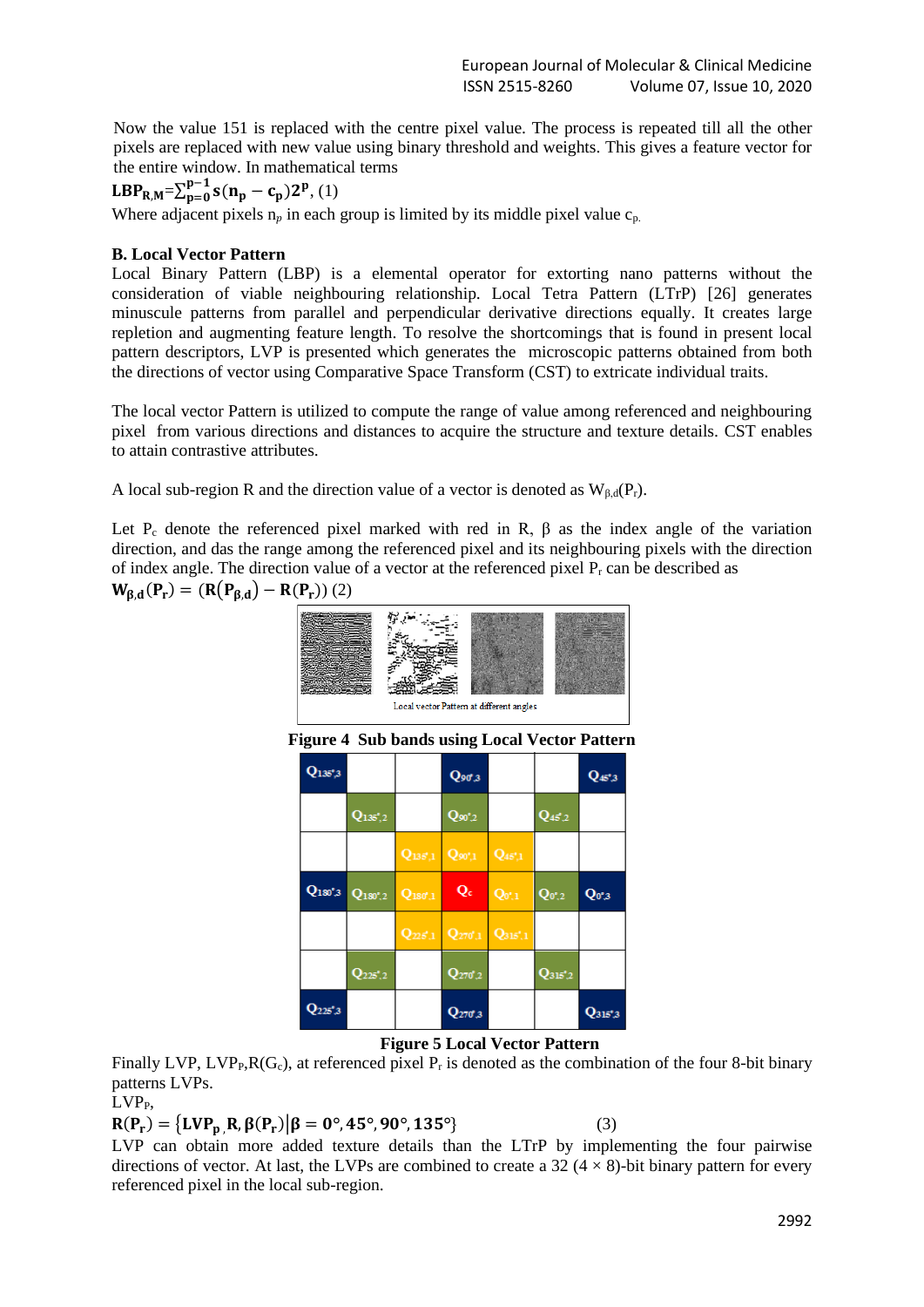Now the value 151 is replaced with the centre pixel value. The process is repeated till all the other pixels are replaced with new value using binary threshold and weights. This gives a feature vector for the entire window. In mathematical terms

# LBP<sub>R,M</sub>= $\sum_{p=0}^{p-1}$ s(n<sub>p</sub> – c<sub>p</sub>)2<sup>p</sup>, (1)

Where adjacent pixels  $n_p$  in each group is limited by its middle pixel value  $c_p$ .

#### **B. Local Vector Pattern**

Local Binary Pattern (LBP) is a elemental operator for extorting nano patterns without the consideration of viable neighbouring relationship. Local Tetra Pattern (LTrP) [26] generates minuscule patterns from parallel and perpendicular derivative directions equally. It creates large repletion and augmenting feature length. To resolve the shortcomings that is found in present local pattern descriptors, LVP is presented which generates the microscopic patterns obtained from both the directions of vector using Comparative Space Transform (CST) to extricate individual traits.

The local vector Pattern is utilized to compute the range of value among referenced and neighbouring pixel from various directions and distances to acquire the structure and texture details. CST enables to attain contrastive attributes.

A local sub-region R and the direction value of a vector is denoted as  $W_{\beta,d}(P_r)$ .

Let P<sub>c</sub> denote the referenced pixel marked with red in R,  $\beta$  as the index angle of the variation direction, and das the range among the referenced pixel and its neighbouring pixels with the direction of index angle. The direction value of a vector at the referenced pixel  $P_r$  can be described as

 $W_{\beta,d}(P_r) = (R(P_{\beta,d}) - R(P_r))$  (2)

| Local vector Pattern at different angles             |                  |              |                    |              |                      |                    |  |  |  |  |  |
|------------------------------------------------------|------------------|--------------|--------------------|--------------|----------------------|--------------------|--|--|--|--|--|
| <b>Figure 4 Sub bands using Local Vector Pattern</b> |                  |              |                    |              |                      |                    |  |  |  |  |  |
| $Q_{135^{\circ},3}$                                  |                  |              | Qoo.3              |              |                      | $Q_{45^{\circ},3}$ |  |  |  |  |  |
|                                                      | $Q_{135',2}$     |              | $Q_{90^{\circ},2}$ |              | $Q_{45,2}$           |                    |  |  |  |  |  |
|                                                      |                  | $Q_{135',1}$ | $Q_{90',1}$        | $Q_{45',1}$  |                      |                    |  |  |  |  |  |
| $Q_{180°,3}$                                         | $Q_{180',2}$     | $Q_{180',1}$ | Qc                 | $Q_{0',1}$   | $Q_{0^{\ast},2}$     | $Q_{0^{\ast}3}$    |  |  |  |  |  |
|                                                      |                  | $Q_{225,1}$  | $Q_{270'1}$        | $Q_{315',1}$ |                      |                    |  |  |  |  |  |
|                                                      | $\bf Q_{225',2}$ |              | $Q_{270'2}$        |              | $Q_{315^{\ast}\!,2}$ |                    |  |  |  |  |  |
|                                                      |                  |              | J270°3             |              |                      | 2315°3             |  |  |  |  |  |

**Figure 5 Local Vector Pattern**

Finally LVP, LVP<sub>P</sub>, $R(G_c)$ , at referenced pixel P<sub>r</sub> is denoted as the combination of the four 8-bit binary patterns LVPs.

 $LVP<sub>P</sub>$ ,

 $R(P_r) = {LVP_p, R, \beta(P_r) | \beta = 0^\circ, 45^\circ, 90^\circ, 135^\circ}$  (3)

LVP can obtain more added texture details than the LTrP by implementing the four pairwise directions of vector. At last, the LVPs are combined to create a 32 ( $4 \times 8$ )-bit binary pattern for every referenced pixel in the local sub-region.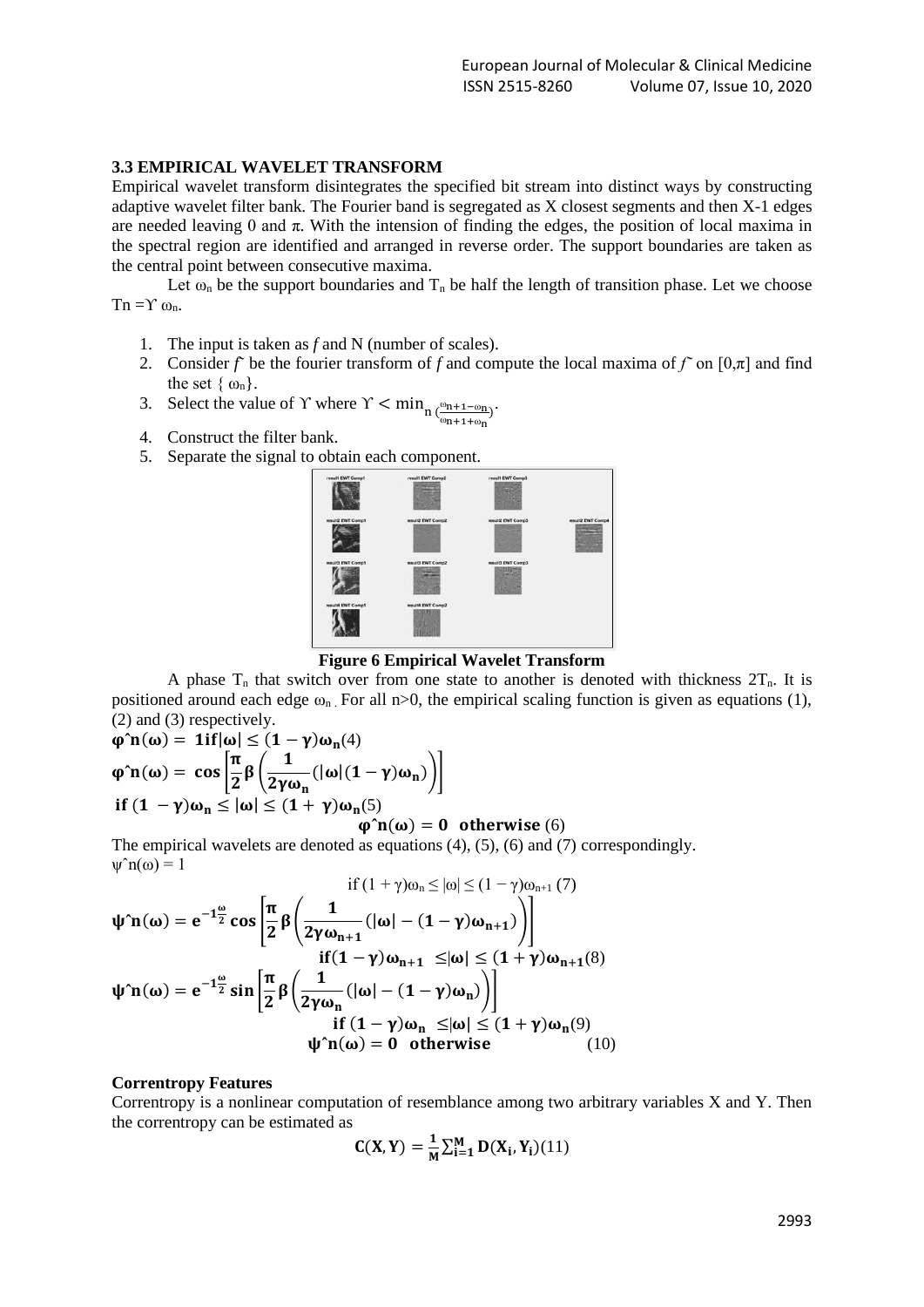#### **3.3 EMPIRICAL WAVELET TRANSFORM**

Empirical wavelet transform disintegrates the specified bit stream into distinct ways by constructing adaptive wavelet filter bank. The Fourier band is segregated as X closest segments and then X-1 edges are needed leaving 0 and  $\pi$ . With the intension of finding the edges, the position of local maxima in the spectral region are identified and arranged in reverse order. The support boundaries are taken as the central point between consecutive maxima.

Let  $\omega_n$  be the support boundaries and  $T_n$  be half the length of transition phase. Let we choose Tn =Υ  $ω_n$ .

- 1. The input is taken as *f* and N (number of scales).
- 2. Consider *f* be the fourier transform of *f* and compute the local maxima of  $f$  on  $[0,\pi]$  and find the set  $\{\omega_n\}$ .
- 3. Select the value of Y where  $\gamma < \min_{n \in \mathbb{R}^{n+1-\omega_n}}$  $\frac{\omega_{n+1-\omega_n}}{\omega_{n+1+\omega_n}}$ )<sup>.</sup>
- 4. Construct the filter bank.
- 5. Separate the signal to obtain each component.



**Figure 6 Empirical Wavelet Transform**

A phase  $T_n$  that switch over from one state to another is denoted with thickness  $2T_n$ . It is positioned around each edge  $\omega_n$ . For all n>0, the empirical scaling function is given as equations (1), (2) and (3) respectively.

$$
\varphi^n n(\omega) = 1if|\omega| \le (1 - \gamma)\omega_n(4)
$$
  

$$
\varphi^n n(\omega) = \cos\left[\frac{\pi}{2}\beta\left(\frac{1}{2\gamma\omega_n}(|\omega|(1 - \gamma)\omega_n)\right)\right]
$$
  
if  $(1 - \gamma)\omega_n \le |\omega| \le (1 + \gamma)\omega_n(5)$ 

#### $\varphi$ <sup>n</sup>( $\omega$ ) = 0 otherwise (6)

The empirical wavelets are denoted as equations (4), (5), (6) and (7) correspondingly.  $\mathbf{w}^n \mathbf{n}(\omega) = 1$ 

$$
\text{if } (1+\gamma)\omega_n \le |\omega| \le (1-\gamma)\omega_{n+1} (7)
$$
\n
$$
\psi \cap (\omega) = e^{-1\frac{\omega}{2}} \cos \left[ \frac{\pi}{2} \beta \left( \frac{1}{2\gamma \omega_{n+1}} (|\omega| - (1-\gamma)\omega_{n+1}) \right) \right]
$$
\n
$$
\text{if } (1-\gamma)\omega_{n+1} \le |\omega| \le (1+\gamma)\omega_{n+1} (8)
$$
\n
$$
\psi \cap (\omega) = e^{-1\frac{\omega}{2}} \sin \left[ \frac{\pi}{2} \beta \left( \frac{1}{2\gamma \omega_n} (|\omega| - (1-\gamma)\omega_n) \right) \right]
$$
\n
$$
\text{if } (1-\gamma)\omega_n \le |\omega| \le (1+\gamma)\omega_n (9)
$$
\n
$$
\psi \cap (\omega) = 0 \quad \text{otherwise} \tag{10}
$$

#### **Correntropy Features**

Correntropy is a nonlinear computation of resemblance among two arbitrary variables X and Y. Then the correntropy can be estimated as

$$
C(X,Y) = \frac{1}{M} \sum_{i=1}^{M} D(X_i, Y_i)(11)
$$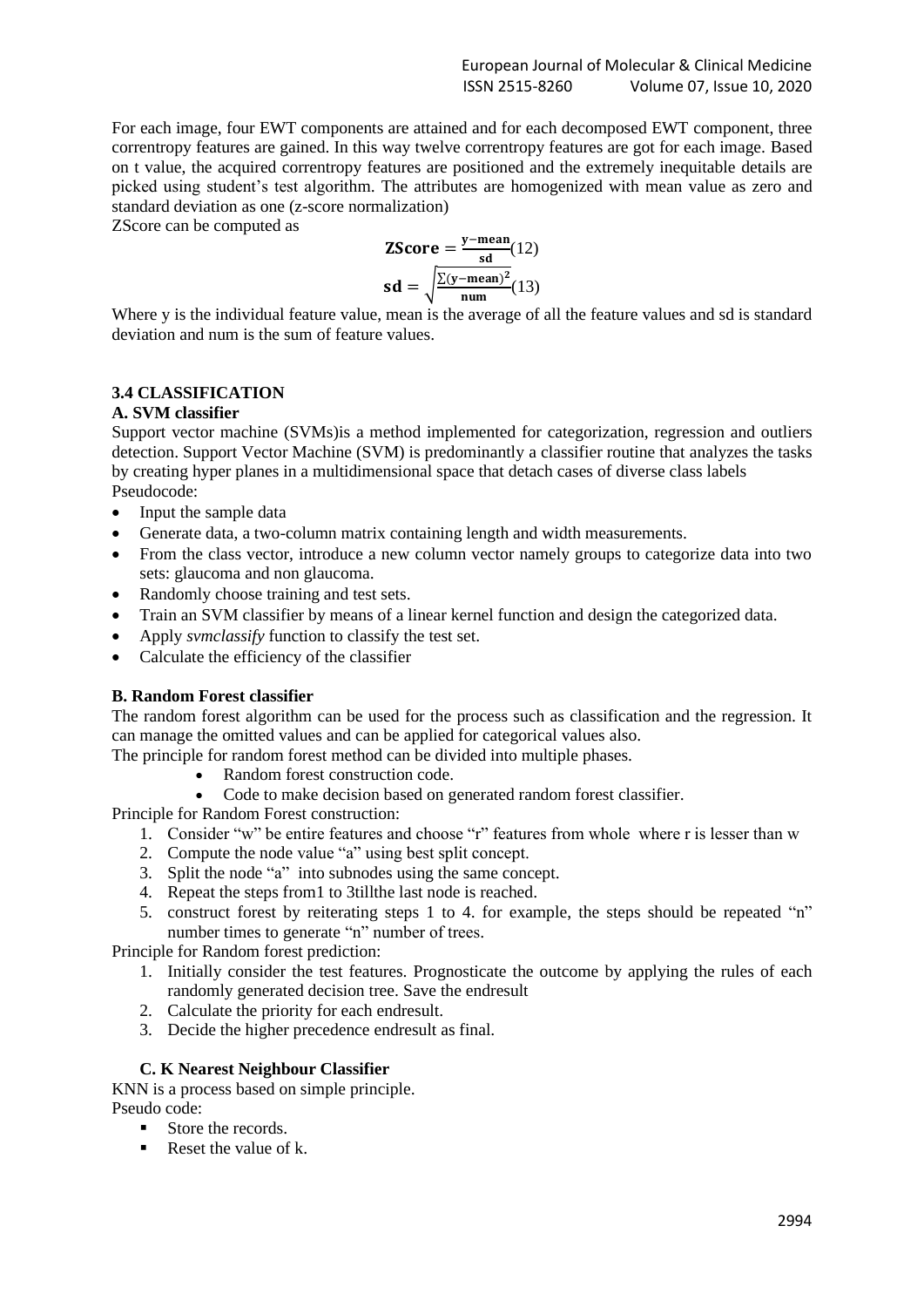For each image, four EWT components are attained and for each decomposed EWT component, three correntropy features are gained. In this way twelve correntropy features are got for each image. Based on t value, the acquired correntropy features are positioned and the extremely inequitable details are picked using student's test algorithm. The attributes are homogenized with mean value as zero and standard deviation as one (z-score normalization)

ZScore can be computed as

ZScore = 
$$
\frac{y - mean}{sd}(12)
$$
  
sd =  $\sqrt{\frac{\sum(y - mean)^2}{num}}(13)$ 

Where y is the individual feature value, mean is the average of all the feature values and sd is standard deviation and num is the sum of feature values.

# **3.4 CLASSIFICATION**

#### **A. SVM classifier**

Support vector machine (SVMs)is a method implemented for [categorization,](http://scikit-learn.org/stable/modules/svm.html#svm-classification) [regression](http://scikit-learn.org/stable/modules/svm.html#svm-regression) and [outliers](http://scikit-learn.org/stable/modules/svm.html#svm-outlier-detection)  [detection.](http://scikit-learn.org/stable/modules/svm.html#svm-outlier-detection) Support Vector Machine (SVM) is predominantly a classifier routine that analyzes the tasks by creating hyper planes in a multidimensional space that detach cases of diverse class labels Pseudocode:

- Input the sample data
- Generate data, a two-column matrix containing length and width measurements.
- From the class vector, introduce a new column vector namely groups to categorize data into two sets: glaucoma and non glaucoma.
- Randomly choose training and test sets.
- Train an SVM classifier by means of a linear kernel function and design the categorized data.
- Apply *svmclassify* function to classify the test set.
- Calculate the efficiency of the classifier

# **B. Random Forest classifier**

The random forest algorithm can be used for the process such as classification and the regression. It can manage the omitted values and can be applied for categorical values also.

The principle for random forest method can be divided into multiple phases.

- Random forest construction code.
- Code to make decision based on generated random forest classifier.

Principle for Random Forest construction:

- 1. Consider "w" be entire features and choose "r" features from whole where r is lesser than w
- 2. Compute the node value "a" using best split concept.
- 3. Split the node "a" into subnodes using the same concept.
- 4. Repeat the steps from1 to 3tillthe last node is reached.
- 5. construct forest by reiterating steps 1 to 4. for example, the steps should be repeated "n" number times to generate "n" number of trees.

Principle for Random forest prediction:

- 1. Initially consider the test features. Prognosticate the outcome by applying the rules of each randomly generated decision tree. Save the endresult
- 2. Calculate the priority for each endresult.
- 3. Decide the higher precedence endresult as final.

# **C. K Nearest Neighbour Classifier**

KNN is a process based on simple principle. Pseudo code:

- Store the records.
- $\blacksquare$  Reset the value of k.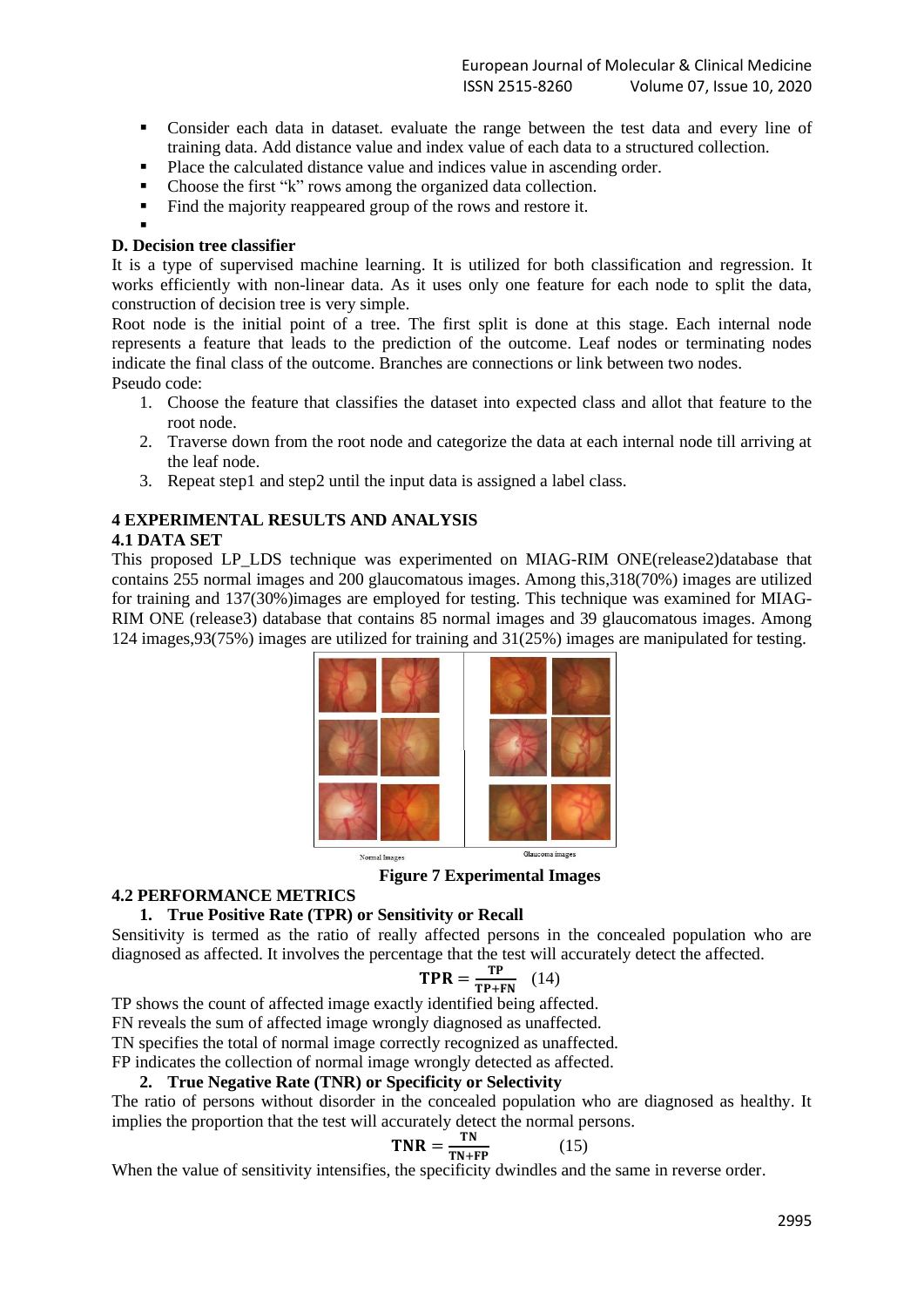- Consider each data in dataset. evaluate the range between the test data and every line of training data. Add distance value and index value of each data to a structured collection.
- Place the calculated distance value and indices value in ascending order.<br>■ Choose the first "k" rows among the organized data collection
- Choose the first "k" rows among the organized data collection.
- Find the majority reappeared group of the rows and restore it.

#### ▪ **D. Decision tree classifier**

It is a type of supervised machine learning. It is utilized for both classification and regression. It works efficiently with non-linear data. As it uses only one feature for each node to split the data, construction of decision tree is very simple.

Root node is the initial point of a tree. The first split is done at this stage. Each internal node represents a feature that leads to the prediction of the outcome. Leaf nodes or terminating nodes indicate the final class of the outcome. Branches are connections or link between two nodes. Pseudo code:

- 1. Choose the feature that classifies the dataset into expected class and allot that feature to the root node.
- 2. Traverse down from the root node and categorize the data at each internal node till arriving at the leaf node.
- 3. Repeat step1 and step2 until the input data is assigned a label class.

# **4 EXPERIMENTAL RESULTS AND ANALYSIS**

#### **4.1 DATA SET**

This proposed LP LDS technique was experimented on MIAG-RIM ONE(release2)database that contains 255 normal images and 200 glaucomatous images. Among this,318(70%) images are utilized for training and 137(30%)images are employed for testing. This technique was examined for MIAG-RIM ONE (release3) database that contains 85 normal images and 39 glaucomatous images. Among 124 images,93(75%) images are utilized for training and 31(25%) images are manipulated for testing.



**Figure 7 Experimental Images**

#### **4.2 PERFORMANCE METRICS**

# **1. True Positive Rate (TPR) or Sensitivity or Recall**

Sensitivity is termed as the ratio of really affected persons in the concealed population who are diagnosed as affected. It involves the percentage that the test will accurately detect the affected.

$$
TPR = \frac{TP}{TP + FN} \quad (14)
$$

TP shows the count of affected image exactly identified being affected.

FN reveals the sum of affected image wrongly diagnosed as unaffected.

TN specifies the total of normal image correctly recognized as unaffected.

FP indicates the collection of normal image wrongly detected as affected.

#### **2. True Negative Rate (TNR) or Specificity or Selectivity**

The ratio of persons without disorder in the concealed population who are diagnosed as healthy. It implies the proportion that the test will accurately detect the normal persons.

$$
TNR = \frac{TN}{TN + FP}
$$
 (15)

When the value of sensitivity intensifies, the specificity dwindles and the same in reverse order.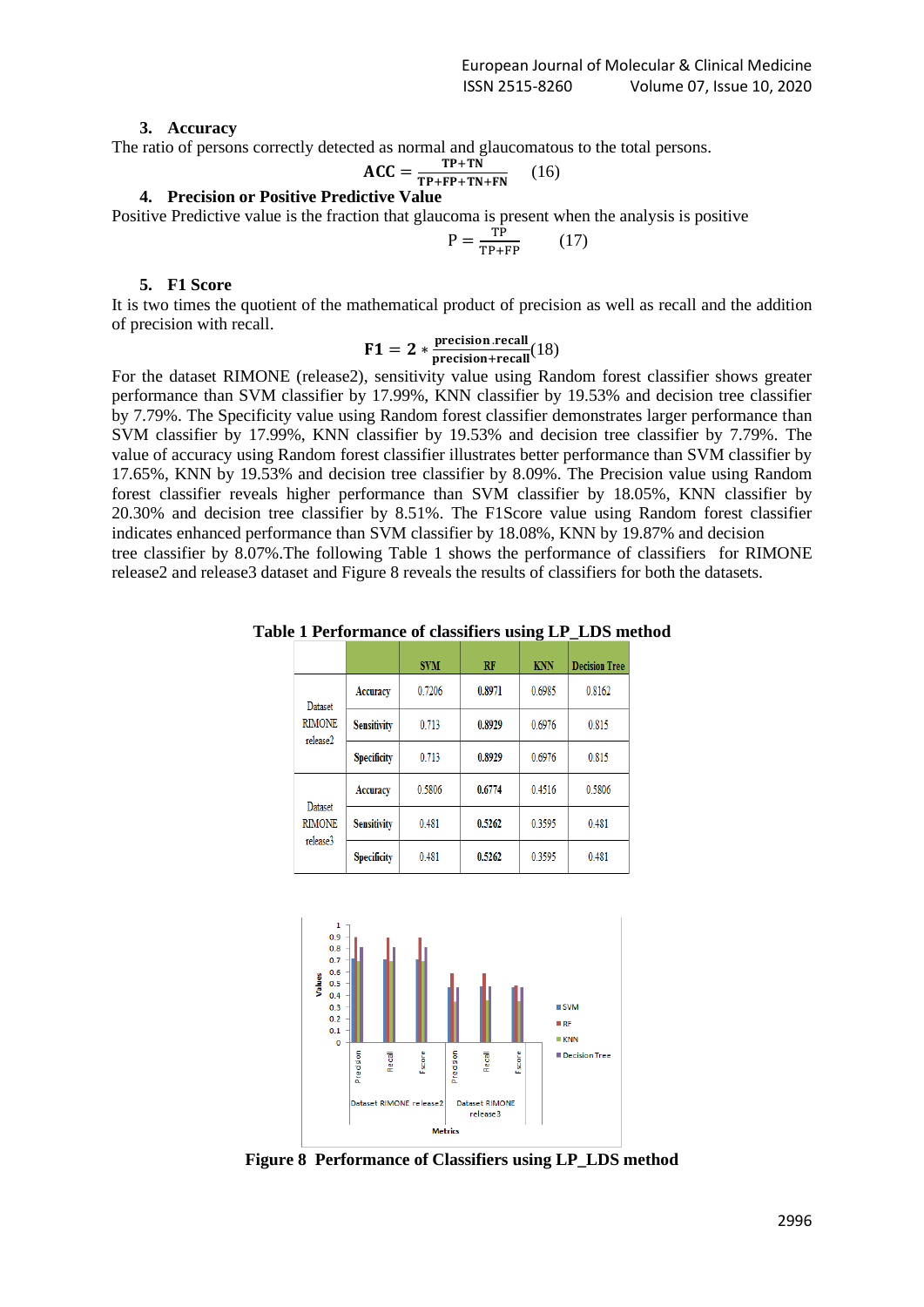#### **3. Accuracy**

The ratio of persons correctly detected as normal and glaucomatous to the total persons.

$$
\text{ACC} = \frac{\text{TP+TN}}{\text{TP+FP+TN+FN}} \qquad (16)
$$

# **4. Precision or Positive Predictive Value**

Positive Predictive value is the fraction that glaucoma is present when the analysis is positive

$$
P = \frac{TP}{TP + FP} \tag{17}
$$

#### **5. F1 Score**

It is two times the quotient of the mathematical product of precision as well as recall and the addition of precision with recall.

$$
F1 = 2 * \frac{\text{precision} \cdot \text{recall}}{\text{precision} + \text{recall}}(18)
$$

For the dataset RIMONE (release2), sensitivity value using Random forest classifier shows greater performance than SVM classifier by 17.99%, KNN classifier by 19.53% and decision tree classifier by 7.79%. The Specificity value using Random forest classifier demonstrates larger performance than SVM classifier by 17.99%, KNN classifier by 19.53% and decision tree classifier by 7.79%. The value of accuracy using Random forest classifier illustrates better performance than SVM classifier by 17.65%, KNN by 19.53% and decision tree classifier by 8.09%. The Precision value using Random forest classifier reveals higher performance than SVM classifier by 18.05%, KNN classifier by 20.30% and decision tree classifier by 8.51%. The F1Score value using Random forest classifier indicates enhanced performance than SVM classifier by 18.08%, KNN by 19.87% and decision tree classifier by 8.07%.The following Table 1 shows the performance of classifiers for RIMONE release2 and release3 dataset and Figure 8 reveals the results of classifiers for both the datasets.

**Table 1 Performance of classifiers using LP\_LDS method**

|                           |                    | <b>SVM</b> | RF     | <b>KNN</b> | <b>Decision Tree</b> |
|---------------------------|--------------------|------------|--------|------------|----------------------|
| Dataset                   | Accuracy           | 0.7206     | 0.8971 | 0.6985     | 0.8162               |
| <b>RIMONE</b><br>release2 | <b>Sensitivity</b> | 0.713      | 0.8929 | 0.6976     | 0.815                |
|                           | <b>Specificity</b> | 0.713      | 0.8929 | 0.6976     | 0.815                |
|                           | Accuracy           | 0.5806     | 0.6774 | 0.4516     | 0.5806               |
| Dataset<br><b>RIMONE</b>  | <b>Sensitivity</b> | 0.481      | 0.5262 | 0.3595     | 0.481                |
| release3                  | <b>Specificity</b> | 0.481      | 0.5262 | 0.3595     | 0.481                |



**Figure 8 Performance of Classifiers using LP\_LDS method**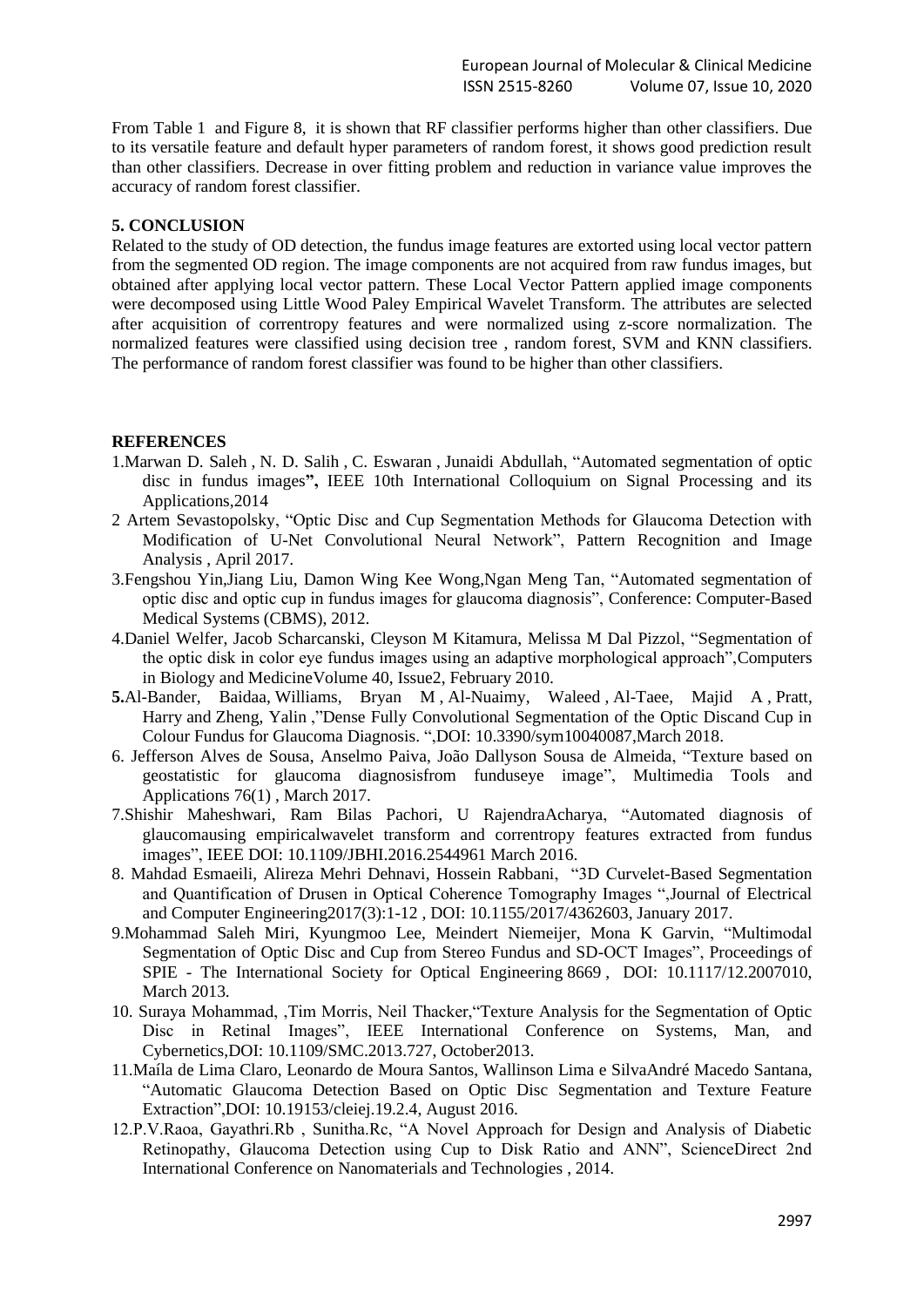From Table 1 and Figure 8, it is shown that RF classifier performs higher than other classifiers. Due to its versatile feature and default hyper parameters of random forest, it shows good prediction result than other classifiers. Decrease in over fitting problem and reduction in variance value improves the accuracy of random forest classifier.

#### **5. CONCLUSION**

Related to the study of OD detection, the fundus image features are extorted using local vector pattern from the segmented OD region. The image components are not acquired from raw fundus images, but obtained after applying local vector pattern. These Local Vector Pattern applied image components were decomposed using Little Wood Paley Empirical Wavelet Transform. The attributes are selected after acquisition of correntropy features and were normalized using z-score normalization. The normalized features were classified using decision tree , random forest, SVM and KNN classifiers. The performance of random forest classifier was found to be higher than other classifiers.

# **REFERENCES**

- 1[.Marwan D. Saleh](https://ieeexplore.ieee.org/search/searchresult.jsp?searchWithin=%22First%20Name%22:%22Marwan%20D.%22&searchWithin=%22Last%20Name%22:%22Saleh%22&newsearch=true&sortType=newest) , [N. D. Salih](https://ieeexplore.ieee.org/search/searchresult.jsp?searchWithin=%22First%20Name%22:%22N.%20D.%22&searchWithin=%22Last%20Name%22:%22Salih%22&newsearch=true&sortType=newest) , [C. Eswaran](https://ieeexplore.ieee.org/search/searchresult.jsp?searchWithin=%22First%20Name%22:%22C.%22&searchWithin=%22Last%20Name%22:%22Eswaran%22&newsearch=true&sortType=newest) , [Junaidi Abdullah,](https://ieeexplore.ieee.org/search/searchresult.jsp?searchWithin=%22First%20Name%22:%22Junaidi%22&searchWithin=%22Last%20Name%22:%22Abdullah%22&newsearch=true&sortType=newest) "Automated segmentation of optic disc in fundus images**",** [IEEE 10th International Colloquium on Signal Processing and its](https://ieeexplore.ieee.org/xpl/mostRecentIssue.jsp?punumber=6798245)  [Applications,](https://ieeexplore.ieee.org/xpl/mostRecentIssue.jsp?punumber=6798245)2014
- 2 Artem [Sevastopolsky,](https://www.researchgate.net/profile/Artem_Sevastopolsky) "Optic Disc and Cup Segmentation Methods for Glaucoma Detection with Modification of U-Net Convolutional Neural Network", Pattern [Recognition](https://www.researchgate.net/journal/1054-6618_Pattern_Recognition_and_Image_Analysis) and Image [Analysis](https://www.researchgate.net/journal/1054-6618_Pattern_Recognition_and_Image_Analysis) , April 2017.
- 3[.Fengshou Yin](https://www.researchgate.net/scientific-contributions/26644902_Fengshou_Yin)[,Jiang Liu,](https://www.researchgate.net/profile/Jiang_Liu4) [Damon Wing Kee Wong,](https://www.researchgate.net/scientific-contributions/14216752_Damon_Wing_Kee_Wong)[Ngan Meng Tan,](https://www.researchgate.net/scientific-contributions/15322792_Ngan_Meng_Tan) "Automated segmentation of optic disc and optic cup in fundus images for glaucoma diagnosis", Conference: Computer-Based Medical Systems (CBMS), 2012.
- 4.Daniel Welfer, Jacob Scharcanski, Cleyson M Kitamura, Melissa M Dal Pizzol, "Segmentation of the optic disk in color eye fundus images using an adaptive morphological approach"[,Computers](https://www.sciencedirect.com/science/journal/00104825)  [in Biology and Medicine](https://www.sciencedirect.com/science/journal/00104825)[Volume 40, Issue2,](https://www.sciencedirect.com/science/journal/00104825/40/2) February 2010.
- **5.**Al-Bander, Baidaa, Williams, Bryan M , Al-Nuaimy, Waleed , Al-Taee, Majid A , Pratt, Harry and Zheng, Yalin ,"Dense Fully Convolutional Segmentation of the Optic Discand Cup in Colour Fundus for Glaucoma Diagnosis. ",DOI: 10.3390/sym10040087,March 2018.
- 6. Jefferson Alves de Sousa, Anselmo Paiva, João Dallyson Sousa de Almeida, "Texture based on geostatistic for glaucoma diagnosisfrom funduseye image", [Multimedia Tools and](https://www.researchgate.net/journal/1380-7501_Multimedia_Tools_and_Applications)  [Applications](https://www.researchgate.net/journal/1380-7501_Multimedia_Tools_and_Applications) 76(1) , March 2017.
- 7.Shishir Maheshwari, Ram Bilas Pachori, U RajendraAcharya, "Automated diagnosis of glaucomausing empiricalwavelet transform and correntropy features extracted from fundus images", IEEE DOI: 10.1109/JBHI.2016.2544961 March 2016.
- 8. [Mahdad Esmaeili,](https://www.researchgate.net/profile/Mahdad_Esmaeili) [Alireza Mehri Dehnavi,](https://www.researchgate.net/profile/Alireza_Dehnavi) [Hossein Rabbani,](https://www.researchgate.net/profile/Hossein_Rabbani2) "3D Curvelet-Based Segmentation and Quantification of Drusen in Optical Coherence Tomography Images "[,Journal of Electrical](https://www.researchgate.net/journal/2090-0147_Journal_of_Electrical_and_Computer_Engineering)  [and Computer Engineering2](https://www.researchgate.net/journal/2090-0147_Journal_of_Electrical_and_Computer_Engineering)017(3):1-12 , DOI: 10.1155/2017/4362603, January 2017.
- 9[.Mohammad Saleh Miri,](https://www.researchgate.net/profile/Mohammad_Saleh_Miri) [Kyungmoo Lee,](https://www.researchgate.net/profile/Kyungmoo_Lee) [Meindert Niemeijer,](https://www.researchgate.net/profile/Meindert_Niemeijer) [Mona K Garvin,](https://www.researchgate.net/profile/Mona_Garvin) "Multimodal Segmentation of Optic Disc and Cup from Stereo Fundus and SD-OCT Images", [Proceedings of](https://www.researchgate.net/journal/0277-786X_Proceedings_of_SPIE-The_International_Society_for_Optical_Engineering)  SPIE - [The International Society for Optical Engineering](https://www.researchgate.net/journal/0277-786X_Proceedings_of_SPIE-The_International_Society_for_Optical_Engineering) 8669 , DOI: 10.1117/12.2007010, March 2013.
- 10. Suraya Mohammad, ,Tim Morris, Neil Thacker,"Texture Analysis for the Segmentation of Optic Disc in Retinal Images", IEEE International Conference on Systems, Man, and Cybernetics,DOI: 10.1109/SMC.2013.727, October2013.
- 11[.Maíla](https://www.researchgate.net/profile/Maila_Claro) de Lima Claro, [Leonardo](https://www.researchgate.net/scientific-contributions/2114536547_Leonardo_de_Moura_Santos) de Moura Santos, [Wallinson](https://www.researchgate.net/scientific-contributions/2114538045_Wallinson_Lima_e_Silva) Lima e SilvaAndré Macedo [Santana,](https://www.researchgate.net/scientific-contributions/69683325_Andre_M_Santana) "Automatic Glaucoma Detection Based on Optic Disc Segmentation and Texture Feature Extraction",DOI: 10.19153/cleiej.19.2.4, August 2016.
- 12.P.V.Raoa, Gayathri.Rb , Sunitha.Rc, "A Novel Approach for Design and Analysis of Diabetic Retinopathy, Glaucoma Detection using Cup to Disk Ratio and ANN", ScienceDirect 2nd International Conference on Nanomaterials and Technologies , 2014.